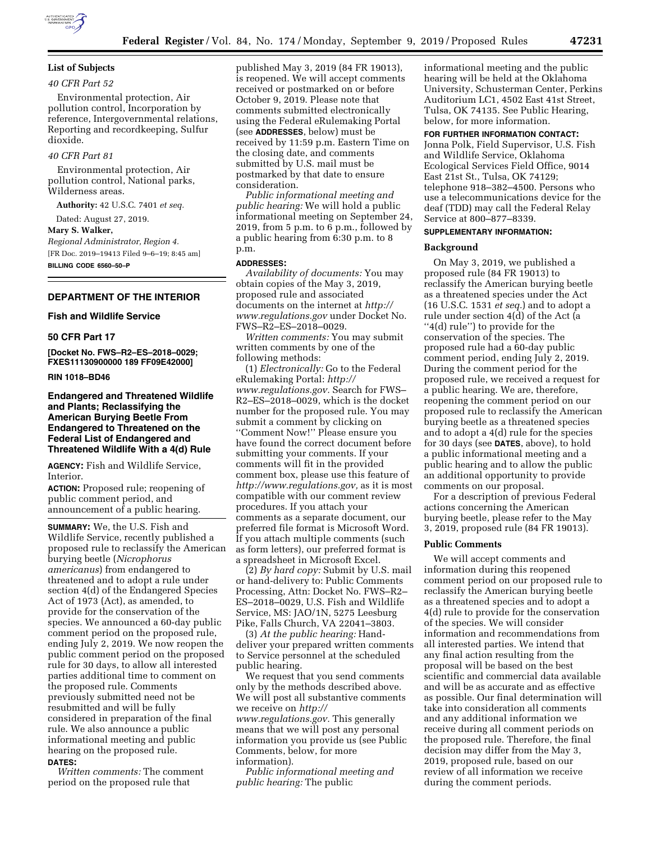

# **List of Subjects**

# *40 CFR Part 52*

Environmental protection, Air pollution control, Incorporation by reference, Intergovernmental relations, Reporting and recordkeeping, Sulfur dioxide.

# *40 CFR Part 81*

Environmental protection, Air pollution control, National parks, Wilderness areas.

**Authority:** 42 U.S.C. 7401 *et seq.* 

Dated: August 27, 2019.

#### **Mary S. Walker,**

*Regional Administrator, Region 4.*  [FR Doc. 2019–19413 Filed 9–6–19; 8:45 am] **BILLING CODE 6560–50–P** 

# **DEPARTMENT OF THE INTERIOR**

### **Fish and Wildlife Service**

#### **50 CFR Part 17**

**[Docket No. FWS–R2–ES–2018–0029; FXES11130900000 189 FF09E42000]** 

#### **RIN 1018–BD46**

# **Endangered and Threatened Wildlife and Plants; Reclassifying the American Burying Beetle From Endangered to Threatened on the Federal List of Endangered and Threatened Wildlife With a 4(d) Rule**

**AGENCY:** Fish and Wildlife Service, Interior.

**ACTION:** Proposed rule; reopening of public comment period, and announcement of a public hearing.

**SUMMARY:** We, the U.S. Fish and Wildlife Service, recently published a proposed rule to reclassify the American burying beetle (*Nicrophorus americanus*) from endangered to threatened and to adopt a rule under section 4(d) of the Endangered Species Act of 1973 (Act), as amended, to provide for the conservation of the species. We announced a 60-day public comment period on the proposed rule, ending July 2, 2019. We now reopen the public comment period on the proposed rule for 30 days, to allow all interested parties additional time to comment on the proposed rule. Comments previously submitted need not be resubmitted and will be fully considered in preparation of the final rule. We also announce a public informational meeting and public hearing on the proposed rule.

#### **DATES:**

*Written comments:* The comment period on the proposed rule that

published May 3, 2019 (84 FR 19013), is reopened. We will accept comments received or postmarked on or before October 9, 2019. Please note that comments submitted electronically using the Federal eRulemaking Portal (see **ADDRESSES**, below) must be received by 11:59 p.m. Eastern Time on the closing date, and comments submitted by U.S. mail must be postmarked by that date to ensure consideration.

*Public informational meeting and public hearing:* We will hold a public informational meeting on September 24, 2019, from 5 p.m. to 6 p.m., followed by a public hearing from 6:30 p.m. to 8 p.m.

#### **ADDRESSES:**

*Availability of documents:* You may obtain copies of the May 3, 2019, proposed rule and associated documents on the internet at *[http://](http://www.regulations.gov) [www.regulations.gov](http://www.regulations.gov)* under Docket No. FWS–R2–ES–2018–0029.

*Written comments:* You may submit written comments by one of the following methods:

(1) *Electronically:* Go to the Federal eRulemaking Portal: *[http://](http://www.regulations.gov) [www.regulations.gov.](http://www.regulations.gov)* Search for FWS– R2–ES–2018–0029, which is the docket number for the proposed rule. You may submit a comment by clicking on ''Comment Now!'' Please ensure you have found the correct document before submitting your comments. If your comments will fit in the provided comment box, please use this feature of *[http://www.regulations.gov,](http://www.regulations.gov)* as it is most compatible with our comment review procedures. If you attach your comments as a separate document, our preferred file format is Microsoft Word. If you attach multiple comments (such as form letters), our preferred format is a spreadsheet in Microsoft Excel.

(2) *By hard copy:* Submit by U.S. mail or hand-delivery to: Public Comments Processing, Attn: Docket No. FWS–R2– ES–2018–0029, U.S. Fish and Wildlife Service, MS: JAO/1N, 5275 Leesburg Pike, Falls Church, VA 22041–3803.

(3) *At the public hearing:* Handdeliver your prepared written comments to Service personnel at the scheduled public hearing.

We request that you send comments only by the methods described above. We will post all substantive comments we receive on *[http://](http://www.regulations.gov) [www.regulations.gov.](http://www.regulations.gov)* This generally means that we will post any personal information you provide us (see Public Comments, below, for more information).

*Public informational meeting and public hearing:* The public

informational meeting and the public hearing will be held at the Oklahoma University, Schusterman Center, Perkins Auditorium LC1, 4502 East 41st Street, Tulsa, OK 74135. See Public Hearing, below, for more information.

#### **FOR FURTHER INFORMATION CONTACT:**

Jonna Polk, Field Supervisor, U.S. Fish and Wildlife Service, Oklahoma Ecological Services Field Office, 9014 East 21st St., Tulsa, OK 74129; telephone 918–382–4500. Persons who use a telecommunications device for the deaf (TDD) may call the Federal Relay Service at 800–877–8339.

# **SUPPLEMENTARY INFORMATION:**

# **Background**

On May 3, 2019, we published a proposed rule (84 FR 19013) to reclassify the American burying beetle as a threatened species under the Act (16 U.S.C. 1531 *et seq.*) and to adopt a rule under section 4(d) of the Act (a ''4(d) rule'') to provide for the conservation of the species. The proposed rule had a 60-day public comment period, ending July 2, 2019. During the comment period for the proposed rule, we received a request for a public hearing. We are, therefore, reopening the comment period on our proposed rule to reclassify the American burying beetle as a threatened species and to adopt a 4(d) rule for the species for 30 days (see **DATES**, above), to hold a public informational meeting and a public hearing and to allow the public an additional opportunity to provide comments on our proposal.

For a description of previous Federal actions concerning the American burying beetle, please refer to the May 3, 2019, proposed rule (84 FR 19013).

# **Public Comments**

We will accept comments and information during this reopened comment period on our proposed rule to reclassify the American burying beetle as a threatened species and to adopt a 4(d) rule to provide for the conservation of the species. We will consider information and recommendations from all interested parties. We intend that any final action resulting from the proposal will be based on the best scientific and commercial data available and will be as accurate and as effective as possible. Our final determination will take into consideration all comments and any additional information we receive during all comment periods on the proposed rule. Therefore, the final decision may differ from the May 3, 2019, proposed rule, based on our review of all information we receive during the comment periods.